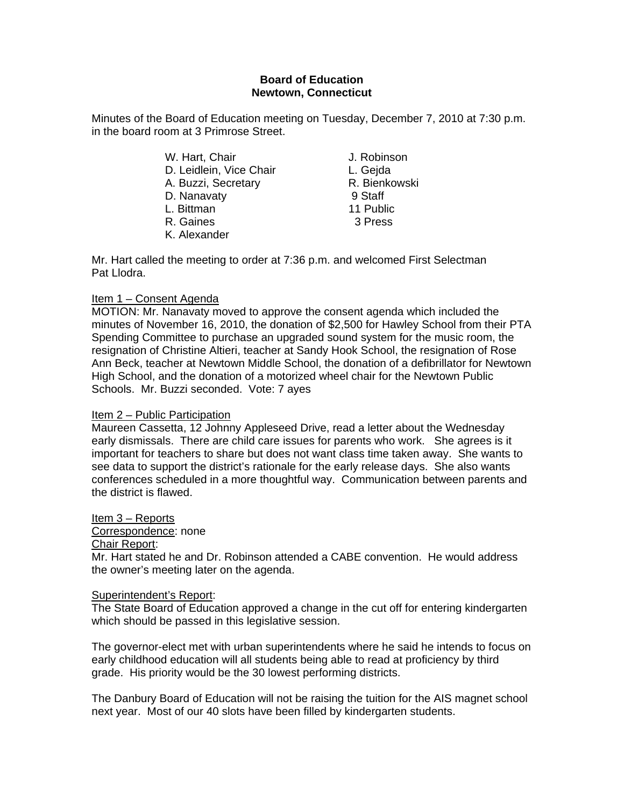### **Board of Education Newtown, Connecticut**

Minutes of the Board of Education meeting on Tuesday, December 7, 2010 at 7:30 p.m. in the board room at 3 Primrose Street.

- W. Hart, Chair **J. Robinson** D. Leidlein, Vice Chair **L. Gejda** A. Buzzi, Secretary **R. Bienkowski** D. Nanavaty 9 Staff L. Bittman 11 Public R. Gaines 3 Press K. Alexander
- 

Mr. Hart called the meeting to order at 7:36 p.m. and welcomed First Selectman Pat Llodra.

# Item 1 – Consent Agenda

MOTION: Mr. Nanavaty moved to approve the consent agenda which included the minutes of November 16, 2010, the donation of \$2,500 for Hawley School from their PTA Spending Committee to purchase an upgraded sound system for the music room, the resignation of Christine Altieri, teacher at Sandy Hook School, the resignation of Rose Ann Beck, teacher at Newtown Middle School, the donation of a defibrillator for Newtown High School, and the donation of a motorized wheel chair for the Newtown Public Schools. Mr. Buzzi seconded. Vote: 7 ayes

# Item 2 – Public Participation

Maureen Cassetta, 12 Johnny Appleseed Drive, read a letter about the Wednesday early dismissals. There are child care issues for parents who work. She agrees is it important for teachers to share but does not want class time taken away. She wants to see data to support the district's rationale for the early release days. She also wants conferences scheduled in a more thoughtful way. Communication between parents and the district is flawed.

Item 3 – Reports

### Correspondence: none

### Chair Report:

Mr. Hart stated he and Dr. Robinson attended a CABE convention. He would address the owner's meeting later on the agenda.

# Superintendent's Report:

The State Board of Education approved a change in the cut off for entering kindergarten which should be passed in this legislative session.

The governor-elect met with urban superintendents where he said he intends to focus on early childhood education will all students being able to read at proficiency by third grade. His priority would be the 30 lowest performing districts.

The Danbury Board of Education will not be raising the tuition for the AIS magnet school next year. Most of our 40 slots have been filled by kindergarten students.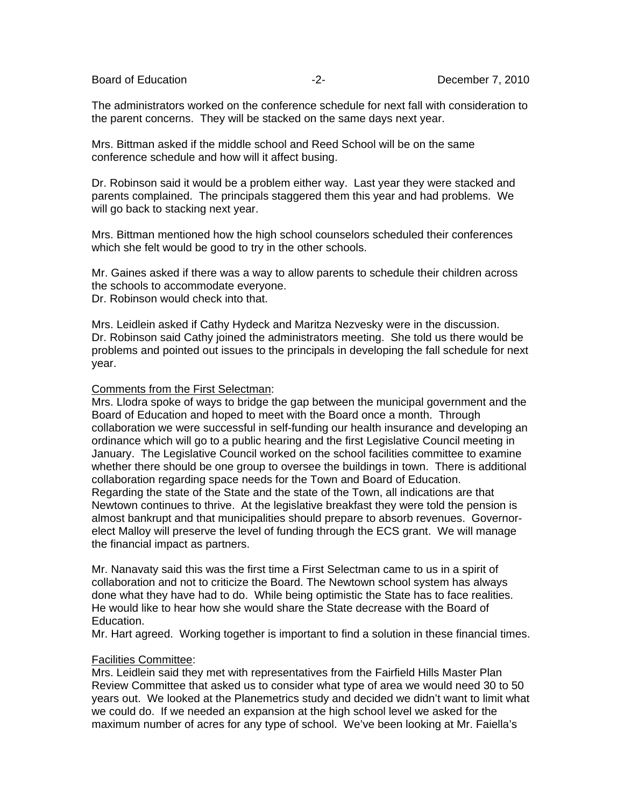The administrators worked on the conference schedule for next fall with consideration to the parent concerns. They will be stacked on the same days next year.

Mrs. Bittman asked if the middle school and Reed School will be on the same conference schedule and how will it affect busing.

Dr. Robinson said it would be a problem either way. Last year they were stacked and parents complained. The principals staggered them this year and had problems. We will go back to stacking next year.

Mrs. Bittman mentioned how the high school counselors scheduled their conferences which she felt would be good to try in the other schools.

Mr. Gaines asked if there was a way to allow parents to schedule their children across the schools to accommodate everyone.

Dr. Robinson would check into that.

Mrs. Leidlein asked if Cathy Hydeck and Maritza Nezvesky were in the discussion. Dr. Robinson said Cathy joined the administrators meeting. She told us there would be problems and pointed out issues to the principals in developing the fall schedule for next year.

# Comments from the First Selectman:

Mrs. Llodra spoke of ways to bridge the gap between the municipal government and the Board of Education and hoped to meet with the Board once a month. Through collaboration we were successful in self-funding our health insurance and developing an ordinance which will go to a public hearing and the first Legislative Council meeting in January. The Legislative Council worked on the school facilities committee to examine whether there should be one group to oversee the buildings in town. There is additional collaboration regarding space needs for the Town and Board of Education. Regarding the state of the State and the state of the Town, all indications are that Newtown continues to thrive. At the legislative breakfast they were told the pension is almost bankrupt and that municipalities should prepare to absorb revenues. Governorelect Malloy will preserve the level of funding through the ECS grant. We will manage the financial impact as partners.

Mr. Nanavaty said this was the first time a First Selectman came to us in a spirit of collaboration and not to criticize the Board. The Newtown school system has always done what they have had to do. While being optimistic the State has to face realities. He would like to hear how she would share the State decrease with the Board of Education.

Mr. Hart agreed. Working together is important to find a solution in these financial times.

### Facilities Committee:

Mrs. Leidlein said they met with representatives from the Fairfield Hills Master Plan Review Committee that asked us to consider what type of area we would need 30 to 50 years out. We looked at the Planemetrics study and decided we didn't want to limit what we could do. If we needed an expansion at the high school level we asked for the maximum number of acres for any type of school. We've been looking at Mr. Faiella's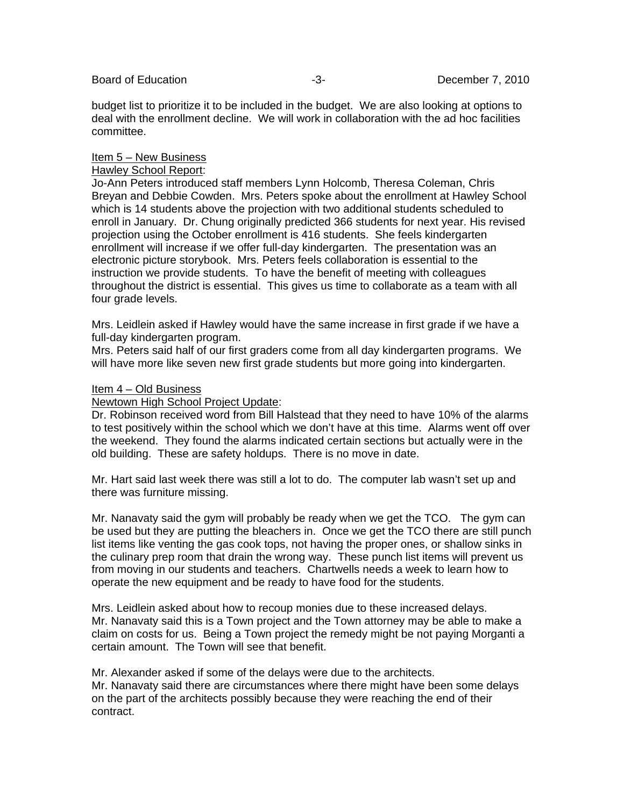budget list to prioritize it to be included in the budget. We are also looking at options to deal with the enrollment decline. We will work in collaboration with the ad hoc facilities committee.

#### Item 5 – New Business

#### Hawley School Report:

Jo-Ann Peters introduced staff members Lynn Holcomb, Theresa Coleman, Chris Breyan and Debbie Cowden. Mrs. Peters spoke about the enrollment at Hawley School which is 14 students above the projection with two additional students scheduled to enroll in January. Dr. Chung originally predicted 366 students for next year. His revised projection using the October enrollment is 416 students. She feels kindergarten enrollment will increase if we offer full-day kindergarten. The presentation was an electronic picture storybook. Mrs. Peters feels collaboration is essential to the instruction we provide students. To have the benefit of meeting with colleagues throughout the district is essential. This gives us time to collaborate as a team with all four grade levels.

Mrs. Leidlein asked if Hawley would have the same increase in first grade if we have a full-day kindergarten program.

Mrs. Peters said half of our first graders come from all day kindergarten programs. We will have more like seven new first grade students but more going into kindergarten.

#### Item 4 – Old Business

Newtown High School Project Update:

Dr. Robinson received word from Bill Halstead that they need to have 10% of the alarms to test positively within the school which we don't have at this time. Alarms went off over the weekend. They found the alarms indicated certain sections but actually were in the old building. These are safety holdups. There is no move in date.

Mr. Hart said last week there was still a lot to do. The computer lab wasn't set up and there was furniture missing.

Mr. Nanavaty said the gym will probably be ready when we get the TCO. The gym can be used but they are putting the bleachers in. Once we get the TCO there are still punch list items like venting the gas cook tops, not having the proper ones, or shallow sinks in the culinary prep room that drain the wrong way. These punch list items will prevent us from moving in our students and teachers. Chartwells needs a week to learn how to operate the new equipment and be ready to have food for the students.

Mrs. Leidlein asked about how to recoup monies due to these increased delays. Mr. Nanavaty said this is a Town project and the Town attorney may be able to make a claim on costs for us. Being a Town project the remedy might be not paying Morganti a certain amount. The Town will see that benefit.

Mr. Alexander asked if some of the delays were due to the architects.

Mr. Nanavaty said there are circumstances where there might have been some delays on the part of the architects possibly because they were reaching the end of their contract.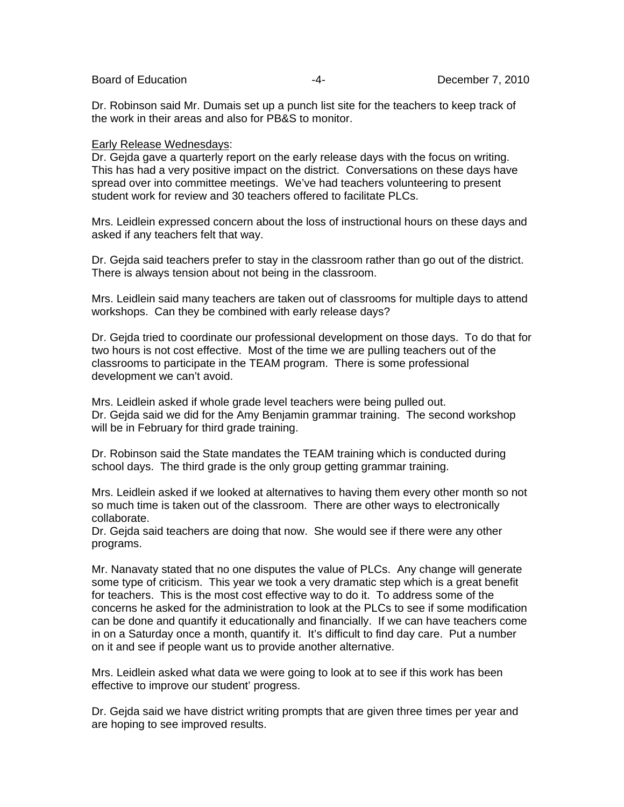Dr. Robinson said Mr. Dumais set up a punch list site for the teachers to keep track of the work in their areas and also for PB&S to monitor.

#### Early Release Wednesdays:

Dr. Gejda gave a quarterly report on the early release days with the focus on writing. This has had a very positive impact on the district. Conversations on these days have spread over into committee meetings. We've had teachers volunteering to present student work for review and 30 teachers offered to facilitate PLCs.

Mrs. Leidlein expressed concern about the loss of instructional hours on these days and asked if any teachers felt that way.

Dr. Gejda said teachers prefer to stay in the classroom rather than go out of the district. There is always tension about not being in the classroom.

Mrs. Leidlein said many teachers are taken out of classrooms for multiple days to attend workshops. Can they be combined with early release days?

Dr. Gejda tried to coordinate our professional development on those days. To do that for two hours is not cost effective. Most of the time we are pulling teachers out of the classrooms to participate in the TEAM program. There is some professional development we can't avoid.

Mrs. Leidlein asked if whole grade level teachers were being pulled out. Dr. Gejda said we did for the Amy Benjamin grammar training. The second workshop will be in February for third grade training.

Dr. Robinson said the State mandates the TEAM training which is conducted during school days. The third grade is the only group getting grammar training.

Mrs. Leidlein asked if we looked at alternatives to having them every other month so not so much time is taken out of the classroom. There are other ways to electronically collaborate.

Dr. Gejda said teachers are doing that now. She would see if there were any other programs.

Mr. Nanavaty stated that no one disputes the value of PLCs. Any change will generate some type of criticism. This year we took a very dramatic step which is a great benefit for teachers. This is the most cost effective way to do it. To address some of the concerns he asked for the administration to look at the PLCs to see if some modification can be done and quantify it educationally and financially. If we can have teachers come in on a Saturday once a month, quantify it. It's difficult to find day care. Put a number on it and see if people want us to provide another alternative.

Mrs. Leidlein asked what data we were going to look at to see if this work has been effective to improve our student' progress.

Dr. Gejda said we have district writing prompts that are given three times per year and are hoping to see improved results.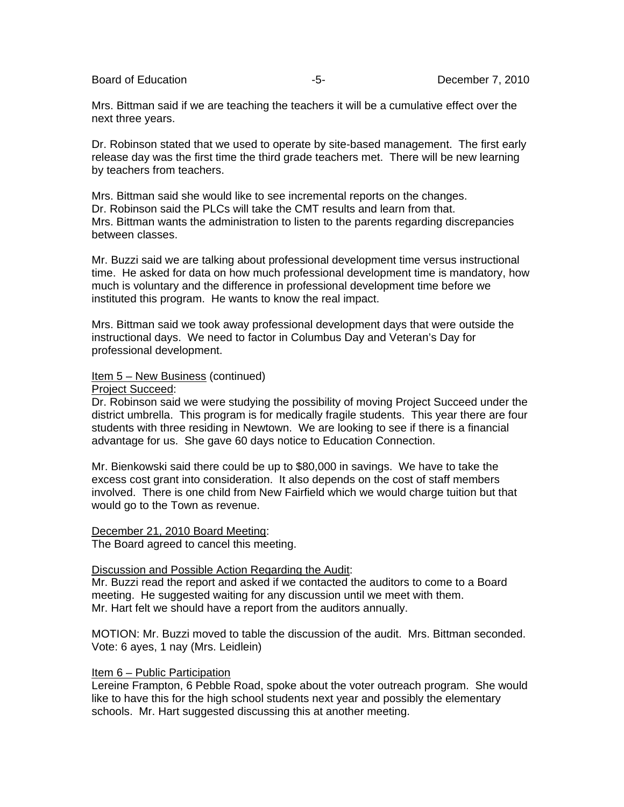Board of Education **-5-** All the state of Education of Education **December 7, 2010** 

Mrs. Bittman said if we are teaching the teachers it will be a cumulative effect over the next three years.

Dr. Robinson stated that we used to operate by site-based management. The first early release day was the first time the third grade teachers met. There will be new learning by teachers from teachers.

Mrs. Bittman said she would like to see incremental reports on the changes. Dr. Robinson said the PLCs will take the CMT results and learn from that. Mrs. Bittman wants the administration to listen to the parents regarding discrepancies between classes.

Mr. Buzzi said we are talking about professional development time versus instructional time. He asked for data on how much professional development time is mandatory, how much is voluntary and the difference in professional development time before we instituted this program. He wants to know the real impact.

Mrs. Bittman said we took away professional development days that were outside the instructional days. We need to factor in Columbus Day and Veteran's Day for professional development.

Item 5 – New Business (continued)

Project Succeed:

Dr. Robinson said we were studying the possibility of moving Project Succeed under the district umbrella. This program is for medically fragile students. This year there are four students with three residing in Newtown. We are looking to see if there is a financial advantage for us. She gave 60 days notice to Education Connection.

Mr. Bienkowski said there could be up to \$80,000 in savings. We have to take the excess cost grant into consideration. It also depends on the cost of staff members involved. There is one child from New Fairfield which we would charge tuition but that would go to the Town as revenue.

December 21, 2010 Board Meeting:

The Board agreed to cancel this meeting.

### Discussion and Possible Action Regarding the Audit:

Mr. Buzzi read the report and asked if we contacted the auditors to come to a Board meeting. He suggested waiting for any discussion until we meet with them. Mr. Hart felt we should have a report from the auditors annually.

MOTION: Mr. Buzzi moved to table the discussion of the audit. Mrs. Bittman seconded. Vote: 6 ayes, 1 nay (Mrs. Leidlein)

### Item 6 – Public Participation

Lereine Frampton, 6 Pebble Road, spoke about the voter outreach program. She would like to have this for the high school students next year and possibly the elementary schools. Mr. Hart suggested discussing this at another meeting.